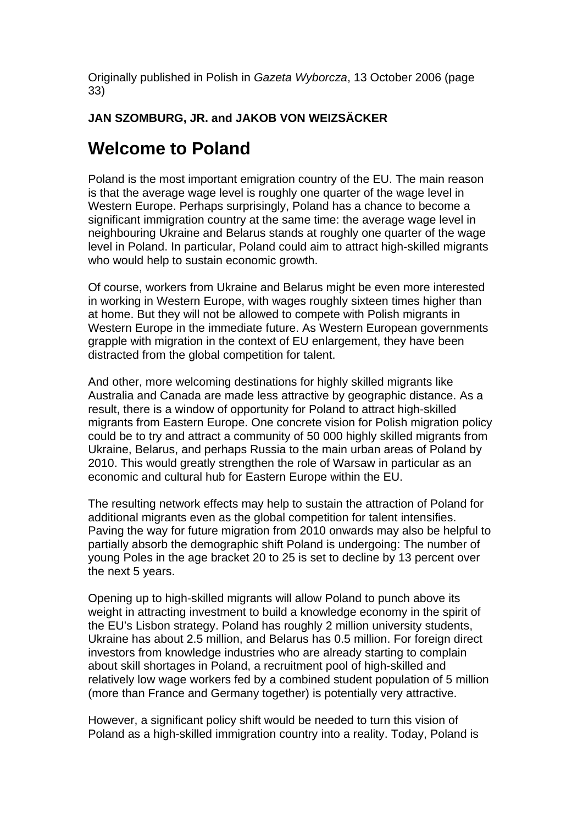Originally published in Polish in *Gazeta Wyborcza*, 13 October 2006 (page 33)

## **JAN SZOMBURG, JR. and JAKOB VON WEIZSÄCKER**

## **Welcome to Poland**

Poland is the most important emigration country of the EU. The main reason is that the average wage level is roughly one quarter of the wage level in Western Europe. Perhaps surprisingly, Poland has a chance to become a significant immigration country at the same time: the average wage level in neighbouring Ukraine and Belarus stands at roughly one quarter of the wage level in Poland. In particular, Poland could aim to attract high-skilled migrants who would help to sustain economic growth.

Of course, workers from Ukraine and Belarus might be even more interested in working in Western Europe, with wages roughly sixteen times higher than at home. But they will not be allowed to compete with Polish migrants in Western Europe in the immediate future. As Western European governments grapple with migration in the context of EU enlargement, they have been distracted from the global competition for talent.

And other, more welcoming destinations for highly skilled migrants like Australia and Canada are made less attractive by geographic distance. As a result, there is a window of opportunity for Poland to attract high-skilled migrants from Eastern Europe. One concrete vision for Polish migration policy could be to try and attract a community of 50 000 highly skilled migrants from Ukraine, Belarus, and perhaps Russia to the main urban areas of Poland by 2010. This would greatly strengthen the role of Warsaw in particular as an economic and cultural hub for Eastern Europe within the EU.

The resulting network effects may help to sustain the attraction of Poland for additional migrants even as the global competition for talent intensifies. Paving the way for future migration from 2010 onwards may also be helpful to partially absorb the demographic shift Poland is undergoing: The number of young Poles in the age bracket 20 to 25 is set to decline by 13 percent over the next 5 years.

Opening up to high-skilled migrants will allow Poland to punch above its weight in attracting investment to build a knowledge economy in the spirit of the EU's Lisbon strategy. Poland has roughly 2 million university students, Ukraine has about 2.5 million, and Belarus has 0.5 million. For foreign direct investors from knowledge industries who are already starting to complain about skill shortages in Poland, a recruitment pool of high-skilled and relatively low wage workers fed by a combined student population of 5 million (more than France and Germany together) is potentially very attractive.

However, a significant policy shift would be needed to turn this vision of Poland as a high-skilled immigration country into a reality. Today, Poland is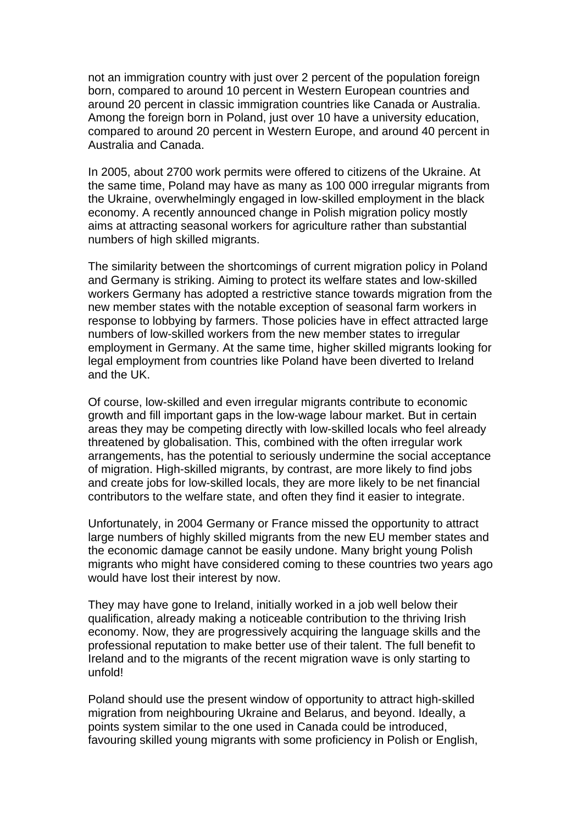not an immigration country with just over 2 percent of the population foreign born, compared to around 10 percent in Western European countries and around 20 percent in classic immigration countries like Canada or Australia. Among the foreign born in Poland, just over 10 have a university education, compared to around 20 percent in Western Europe, and around 40 percent in Australia and Canada.

In 2005, about 2700 work permits were offered to citizens of the Ukraine. At the same time, Poland may have as many as 100 000 irregular migrants from the Ukraine, overwhelmingly engaged in low-skilled employment in the black economy. A recently announced change in Polish migration policy mostly aims at attracting seasonal workers for agriculture rather than substantial numbers of high skilled migrants.

The similarity between the shortcomings of current migration policy in Poland and Germany is striking. Aiming to protect its welfare states and low-skilled workers Germany has adopted a restrictive stance towards migration from the new member states with the notable exception of seasonal farm workers in response to lobbying by farmers. Those policies have in effect attracted large numbers of low-skilled workers from the new member states to irregular employment in Germany. At the same time, higher skilled migrants looking for legal employment from countries like Poland have been diverted to Ireland and the UK.

Of course, low-skilled and even irregular migrants contribute to economic growth and fill important gaps in the low-wage labour market. But in certain areas they may be competing directly with low-skilled locals who feel already threatened by globalisation. This, combined with the often irregular work arrangements, has the potential to seriously undermine the social acceptance of migration. High-skilled migrants, by contrast, are more likely to find jobs and create jobs for low-skilled locals, they are more likely to be net financial contributors to the welfare state, and often they find it easier to integrate.

Unfortunately, in 2004 Germany or France missed the opportunity to attract large numbers of highly skilled migrants from the new EU member states and the economic damage cannot be easily undone. Many bright young Polish migrants who might have considered coming to these countries two years ago would have lost their interest by now.

They may have gone to Ireland, initially worked in a job well below their qualification, already making a noticeable contribution to the thriving Irish economy. Now, they are progressively acquiring the language skills and the professional reputation to make better use of their talent. The full benefit to Ireland and to the migrants of the recent migration wave is only starting to unfold!

Poland should use the present window of opportunity to attract high-skilled migration from neighbouring Ukraine and Belarus, and beyond. Ideally, a points system similar to the one used in Canada could be introduced, favouring skilled young migrants with some proficiency in Polish or English,